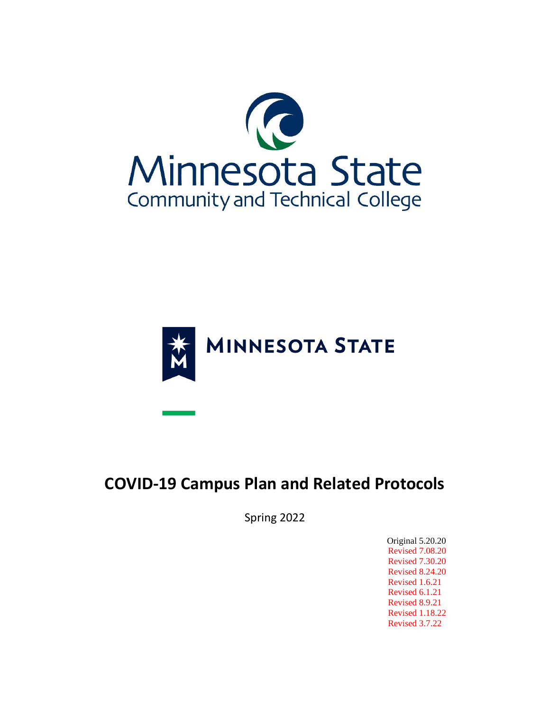



# **COVID-19 Campus Plan and Related Protocols**

Spring 2022

 Original 5.20.20 Revised 7.08.20 Revised 7.30.20 Revised 8.24.20 Revised 1.6.21 Revised 6.1.21 Revised 8.9.21 Revised 1.18.22 Revised 3.7.22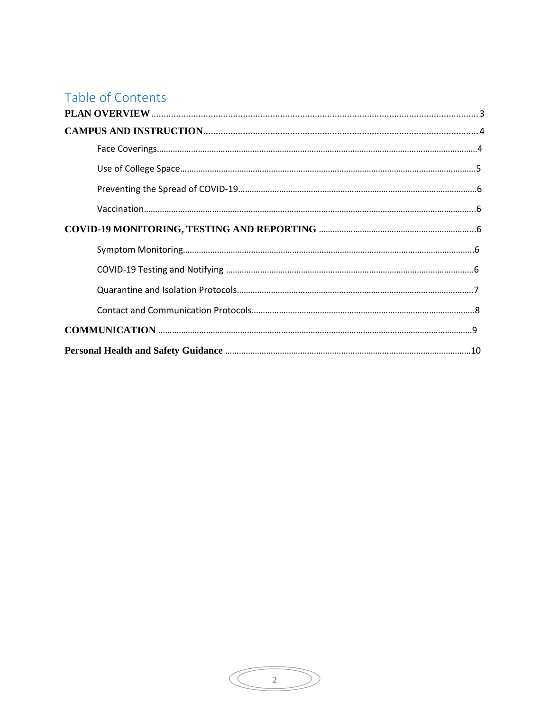# Table of Contents

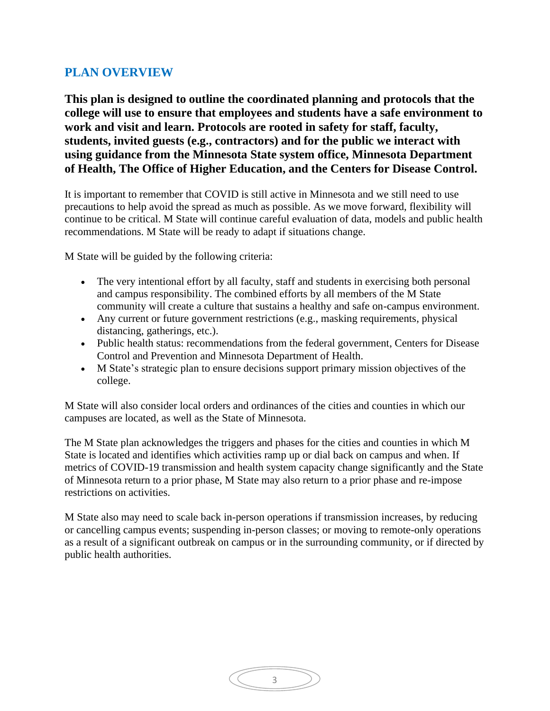# <span id="page-2-0"></span>**PLAN OVERVIEW**

**This plan is designed to outline the coordinated planning and protocols that the college will use to ensure that employees and students have a safe environment to work and visit and learn. Protocols are rooted in safety for staff, faculty, students, invited guests (e.g., contractors) and for the public we interact with using guidance from the Minnesota State system office, Minnesota Department of Health, The Office of Higher Education, and the Centers for Disease Control.**

It is important to remember that COVID is still active in Minnesota and we still need to use precautions to help avoid the spread as much as possible. As we move forward, flexibility will continue to be critical. M State will continue careful evaluation of data, models and public health recommendations. M State will be ready to adapt if situations change.

M State will be guided by the following criteria:

- The very intentional effort by all faculty, staff and students in exercising both personal and campus responsibility. The combined efforts by all members of the M State community will create a culture that sustains a healthy and safe on-campus environment.
- Any current or future government restrictions (e.g., masking requirements, physical distancing, gatherings, etc.).
- Public health status: recommendations from the federal government, Centers for Disease Control and Prevention and Minnesota Department of Health.
- M State's strategic plan to ensure decisions support primary mission objectives of the college.

M State will also consider local orders and ordinances of the cities and counties in which our campuses are located, as well as the State of Minnesota.

The M State plan acknowledges the triggers and phases for the cities and counties in which M State is located and identifies which activities ramp up or dial back on campus and when. If metrics of COVID-19 transmission and health system capacity change significantly and the State of Minnesota return to a prior phase, M State may also return to a prior phase and re-impose restrictions on activities.

M State also may need to scale back in-person operations if transmission increases, by reducing or cancelling campus events; suspending in-person classes; or moving to remote-only operations as a result of a significant outbreak on campus or in the surrounding community, or if directed by public health authorities.

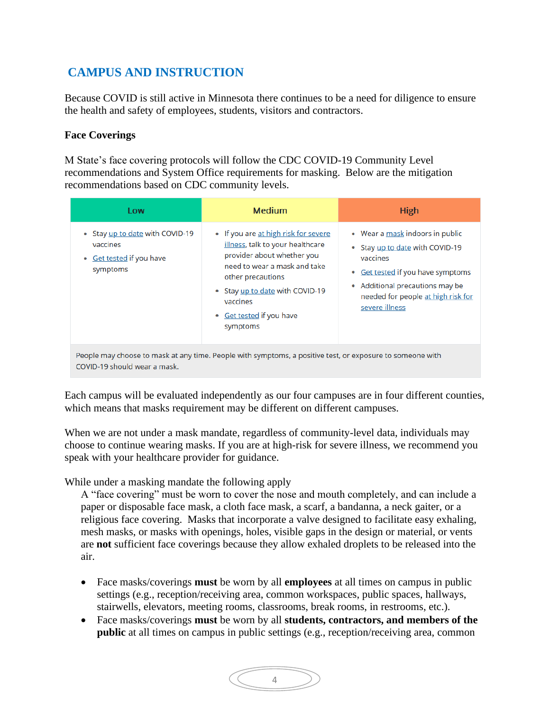# <span id="page-3-0"></span>**CAMPUS AND INSTRUCTION**

Because COVID is still active in Minnesota there continues to be a need for diligence to ensure the health and safety of employees, students, visitors and contractors.

#### **Face Coverings**

M State's face covering protocols will follow the CDC COVID-19 Community Level recommendations and System Office requirements for masking. Below are the mitigation recommendations based on CDC community levels.

| Low                                                                                                                                       | <b>Medium</b>                                                                                                                                                                                                                                      | <b>High</b>                                                                                                                                                                                                    |  |  |  |
|-------------------------------------------------------------------------------------------------------------------------------------------|----------------------------------------------------------------------------------------------------------------------------------------------------------------------------------------------------------------------------------------------------|----------------------------------------------------------------------------------------------------------------------------------------------------------------------------------------------------------------|--|--|--|
| • Stay up to date with COVID-19<br>vaccines<br><b>Get tested if you have</b><br>$\bullet$<br>symptoms                                     | • If you are at high risk for severe<br>illness, talk to your healthcare<br>provider about whether you<br>need to wear a mask and take<br>other precautions<br>• Stay up to date with COVID-19<br>vaccines<br>• Get tested if you have<br>symptoms | • Wear a mask indoors in public<br>• Stay up to date with COVID-19<br>vaccines<br>• Get tested if you have symptoms<br>• Additional precautions may be<br>needed for people at high risk for<br>severe illness |  |  |  |
| People may choose to mask at any time. People with symptoms, a positive test, or exposure to someone with<br>COVID-19 should wear a mask. |                                                                                                                                                                                                                                                    |                                                                                                                                                                                                                |  |  |  |

Each campus will be evaluated independently as our four campuses are in four different counties, which means that masks requirement may be different on different campuses.

When we are not under a mask mandate, regardless of community-level data, individuals may choose to continue wearing masks. If you are at high-risk for severe illness, we recommend you speak with your healthcare provider for guidance.

While under a masking mandate the following apply

A "face covering" must be worn to cover the nose and mouth completely, and can include a paper or disposable face mask, a cloth face mask, a scarf, a bandanna, a neck gaiter, or a religious face covering. Masks that incorporate a valve designed to facilitate easy exhaling, mesh masks, or masks with openings, holes, visible gaps in the design or material, or vents are **not** sufficient face coverings because they allow exhaled droplets to be released into the air.

- Face masks/coverings **must** be worn by all **employees** at all times on campus in public settings (e.g., reception/receiving area, common workspaces, public spaces, hallways, stairwells, elevators, meeting rooms, classrooms, break rooms, in restrooms, etc.).
- Face masks/coverings **must** be worn by all **students, contractors, and members of the public** at all times on campus in public settings (e.g., reception/receiving area, common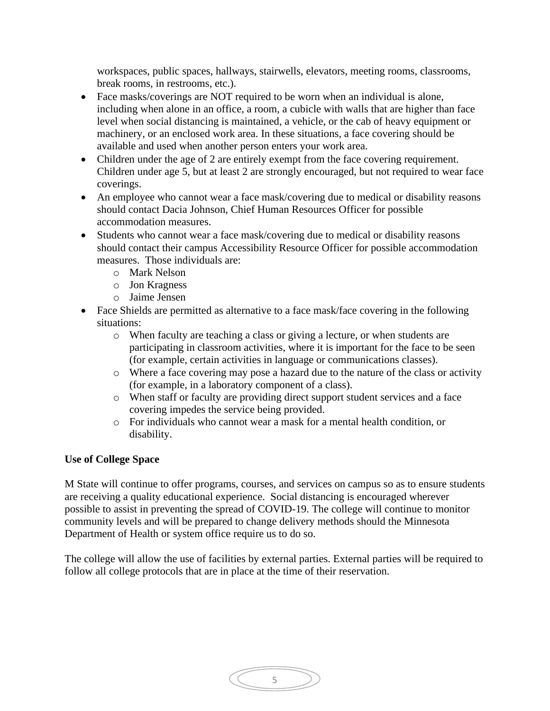workspaces, public spaces, hallways, stairwells, elevators, meeting rooms, classrooms, break rooms, in restrooms, etc.).

- Face masks/coverings are NOT required to be worn when an individual is alone, including when alone in an office, a room, a cubicle with walls that are higher than face level when social distancing is maintained, a vehicle, or the cab of heavy equipment or machinery, or an enclosed work area. In these situations, a face covering should be available and used when another person enters your work area.
- Children under the age of 2 are entirely exempt from the face covering requirement. Children under age 5, but at least 2 are strongly encouraged, but not required to wear face coverings.
- An employee who cannot wear a face mask/covering due to medical or disability reasons should contact Dacia Johnson, Chief Human Resources Officer for possible accommodation measures.
- Students who cannot wear a face mask/covering due to medical or disability reasons should contact their campus Accessibility Resource Officer for possible accommodation measures. Those individuals are:
	- o Mark Nelson
	- o Jon Kragness
	- o Jaime Jensen
- Face Shields are permitted as alternative to a face mask/face covering in the following situations:
	- o When faculty are teaching a class or giving a lecture, or when students are participating in classroom activities, where it is important for the face to be seen (for example, certain activities in language or communications classes).
	- o Where a face covering may pose a hazard due to the nature of the class or activity (for example, in a laboratory component of a class).
	- o When staff or faculty are providing direct support student services and a face covering impedes the service being provided.
	- o For individuals who cannot wear a mask for a mental health condition, or disability.

## **Use of College Space**

M State will continue to offer programs, courses, and services on campus so as to ensure students are receiving a quality educational experience. Social distancing is encouraged wherever possible to assist in preventing the spread of COVID-19. The college will continue to monitor community levels and will be prepared to change delivery methods should the Minnesota Department of Health or system office require us to do so.

The college will allow the use of facilities by external parties. External parties will be required to follow all college protocols that are in place at the time of their reservation.

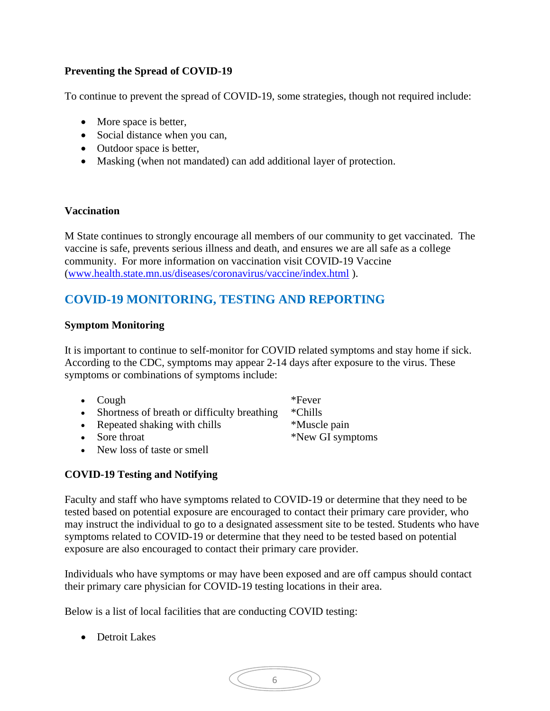# **Preventing the Spread of COVID-19**

To continue to prevent the spread of COVID-19, some strategies, though not required include:

- More space is better,
- Social distance when you can,
- Outdoor space is better,
- Masking (when not mandated) can add additional layer of protection.

#### **Vaccination**

M State continues to strongly encourage all members of our community to get vaccinated. The vaccine is safe, prevents serious illness and death, and ensures we are all safe as a college community. For more information on vaccination visit COVID-19 Vaccine [\(www.health.state.mn.us/diseases/coronavirus/vaccine/index.html](http://www.health.state.mn.us/diseases/coronavirus/vaccine/index.html) ).

# **COVID-19 MONITORING, TESTING AND REPORTING**

#### **Symptom Monitoring**

It is important to continue to self-monitor for COVID related symptoms and stay home if sick. [According to the CDC,](https://www.cdc.gov/coronavirus/2019-ncov/symptoms-testing/symptoms.html) symptoms may appear 2-14 days after exposure to the virus. These symptoms or combinations of symptoms include:

| • $Cough$                                             | *Fever |
|-------------------------------------------------------|--------|
| • Shortness of breath or difficulty breathing *Chills |        |

- Repeated shaking with chills \*Muscle pain
- 
- New loss of taste or smell

## **COVID-19 Testing and Notifying**

Faculty and staff who have symptoms related to COVID-19 or determine that they need to be tested based on potential exposure are encouraged to contact their primary care provider, who may instruct the individual to go to a designated assessment site to be tested. Students who have symptoms related to COVID-19 or determine that they need to be tested based on potential exposure are also encouraged to contact their primary care provider.

Individuals who have symptoms or may have been exposed and are off campus should contact their primary care physician for COVID-19 testing locations in their area.

Below is a list of local facilities that are conducting COVID testing:

- Detroit Lakes
- 6

• Sore throat  $*$ New GI symptoms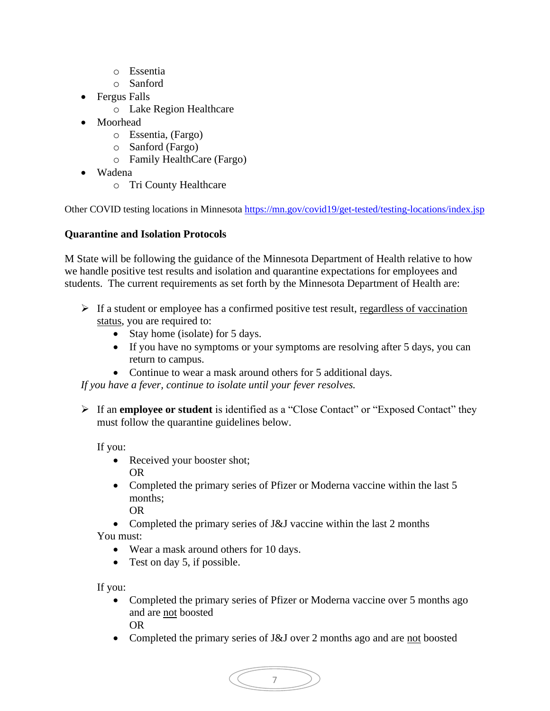- o Essentia
- o Sanford
- Fergus Falls
	- o Lake Region Healthcare
- Moorhead
	- o Essentia, (Fargo)
	- o Sanford (Fargo)
	- o Family HealthCare (Fargo)
- Wadena
	- o Tri County Healthcare

Other COVID testing locations in Minnesota https://mn.gov/covid19/get-tested/testing-locations/index.jsp

# **Quarantine and Isolation Protocols**

M State will be following the guidance of the Minnesota Department of Health relative to how we handle positive test results and isolation and quarantine expectations for employees and students. The current requirements as set forth by the Minnesota Department of Health are:

- $\triangleright$  If a student or employee has a confirmed positive test result, regardless of vaccination status, you are required to:
	- Stay home (isolate) for 5 days.
	- If you have no symptoms or your symptoms are resolving after 5 days, you can return to campus.
	- Continue to wear a mask around others for 5 additional days.

*If you have a fever, continue to isolate until your fever resolves.*

➢ If an **employee or student** is identified as a "Close Contact" or "Exposed Contact" they must follow the quarantine guidelines below.

If you:

- Received your booster shot; OR
- Completed the primary series of Pfizer or Moderna vaccine within the last 5 months;

OR

- Completed the primary series of J&J vaccine within the last 2 months You must:
	- Wear a mask around others for 10 days.
	- Test on day 5, if possible.

If you:

- Completed the primary series of Pfizer or Moderna vaccine over 5 months ago and are not boosted OR
- Completed the primary series of J&J over 2 months ago and are not boosted

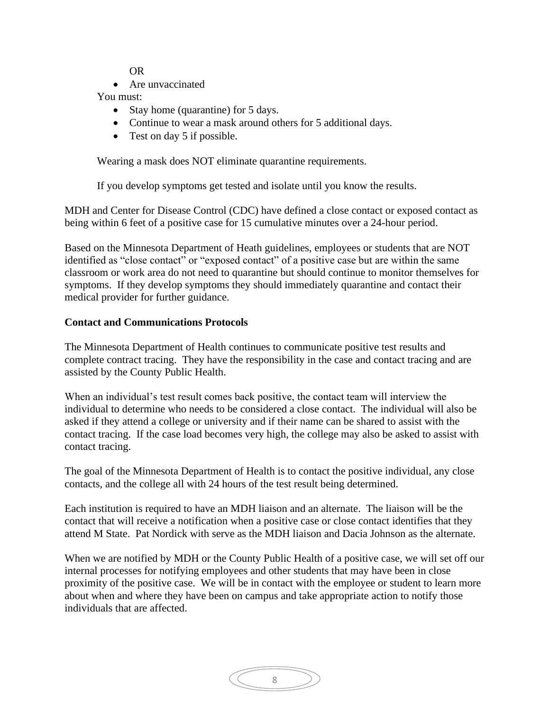OR

• Are unvaccinated

## You must:

- Stay home (quarantine) for 5 days.
- Continue to wear a mask around others for 5 additional days.
- Test on day 5 if possible.

Wearing a mask does NOT eliminate quarantine requirements.

If you develop symptoms get tested and isolate until you know the results.

MDH and Center for Disease Control (CDC) have defined a close contact or exposed contact as being within 6 feet of a positive case for 15 cumulative minutes over a 24-hour period.

Based on the Minnesota Department of Heath guidelines, employees or students that are NOT identified as "close contact" or "exposed contact" of a positive case but are within the same classroom or work area do not need to quarantine but should continue to monitor themselves for symptoms. If they develop symptoms they should immediately quarantine and contact their medical provider for further guidance.

## **Contact and Communications Protocols**

The Minnesota Department of Health continues to communicate positive test results and complete contract tracing. They have the responsibility in the case and contact tracing and are assisted by the County Public Health.

When an individual's test result comes back positive, the contact team will interview the individual to determine who needs to be considered a close contact. The individual will also be asked if they attend a college or university and if their name can be shared to assist with the contact tracing. If the case load becomes very high, the college may also be asked to assist with contact tracing.

The goal of the Minnesota Department of Health is to contact the positive individual, any close contacts, and the college all with 24 hours of the test result being determined.

Each institution is required to have an MDH liaison and an alternate. The liaison will be the contact that will receive a notification when a positive case or close contact identifies that they attend M State. Pat Nordick with serve as the MDH liaison and Dacia Johnson as the alternate.

When we are notified by MDH or the County Public Health of a positive case, we will set off our internal processes for notifying employees and other students that may have been in close proximity of the positive case. We will be in contact with the employee or student to learn more about when and where they have been on campus and take appropriate action to notify those individuals that are affected.

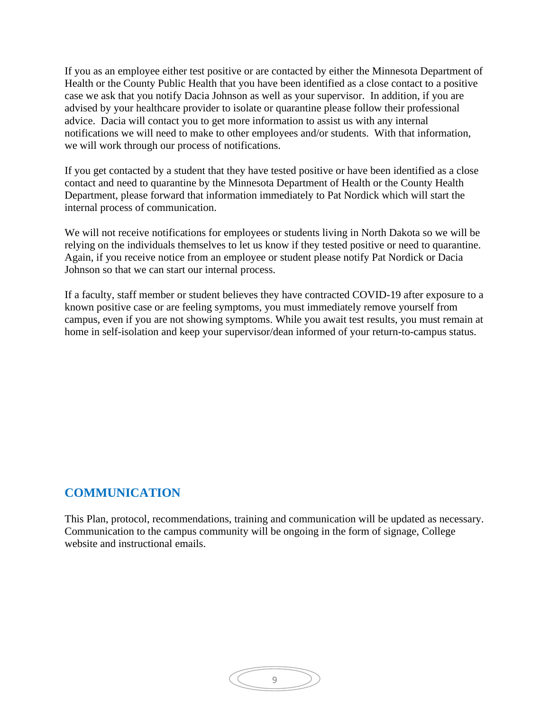If you as an employee either test positive or are contacted by either the Minnesota Department of Health or the County Public Health that you have been identified as a close contact to a positive case we ask that you notify Dacia Johnson as well as your supervisor. In addition, if you are advised by your healthcare provider to isolate or quarantine please follow their professional advice. Dacia will contact you to get more information to assist us with any internal notifications we will need to make to other employees and/or students. With that information, we will work through our process of notifications.

If you get contacted by a student that they have tested positive or have been identified as a close contact and need to quarantine by the Minnesota Department of Health or the County Health Department, please forward that information immediately to Pat Nordick which will start the internal process of communication.

We will not receive notifications for employees or students living in North Dakota so we will be relying on the individuals themselves to let us know if they tested positive or need to quarantine. Again, if you receive notice from an employee or student please notify Pat Nordick or Dacia Johnson so that we can start our internal process.

If a faculty, staff member or student believes they have contracted COVID-19 after exposure to a known positive case or are feeling symptoms, you must immediately remove yourself from campus, even if you are not showing symptoms. While you await test results, you must remain at home in self-isolation and keep your supervisor/dean informed of your return-to-campus status.

# **COMMUNICATION**

This Plan, protocol, recommendations, training and communication will be updated as necessary. Communication to the campus community will be ongoing in the form of signage, College website and instructional emails.